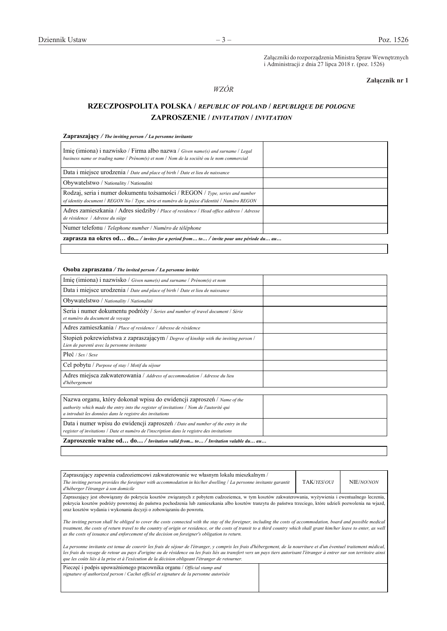Załączniki do rozporządzenia Ministra Spraw Wewnętrznych i Administracji z dnia 27 lipca 2018 r. (poz. 1526)

## **Załącznik nr 1**

### *WZÓR WZÓR*

# **RZECZPOSPOLITA POLSKA /** *REPUBLIC OF POLAND* **/** *REPUBLIQUE DE POLOGNE* **ZAPROSZENIE /** *INVITATION* **/** *INVITATION*

|  |  | <b>Zapraszający</b> / The inviting person / La personne invitante |
|--|--|-------------------------------------------------------------------|
|--|--|-------------------------------------------------------------------|

| Imię (imiona) i nazwisko / Firma albo nazwa / Given name(s) and surname / Legal<br>business name or trading name $/$ Prénom(s) et nom $/$ Nom de la société ou le nom commercial |  |
|----------------------------------------------------------------------------------------------------------------------------------------------------------------------------------|--|
| Data i miejsce urodzenia / Date and place of birth / Date et lieu de naissance                                                                                                   |  |
| Obywatelstwo / Nationality / Nationalité                                                                                                                                         |  |
| Rodzaj, seria i numer dokumentu tożsamości / REGON / Type, series and number<br>of identity document / REGON No / Type, série et numéro de la pièce d'identité / Numéro REGON    |  |
| Adres zamieszkania / Adres siedziby / Place of residence / Head office address / Adresse<br>de résidence / Adresse du siège                                                      |  |
| Numer telefonu / Telephone number / Numéro de téléphone                                                                                                                          |  |
| <b>zaprasza na okres od do</b> / invites for a period from to / invite pour une période du au                                                                                    |  |

## **Osoba zapraszana** */ The invited person / La personne invitée*

| Nazwa organu, który dokonał wpisu do ewidencji zaproszeń / Name of the<br>authority which made the entry into the register of invitations / Nom de l'autorité qui<br>a introduit les données dans le registre des invitations |  |
|-------------------------------------------------------------------------------------------------------------------------------------------------------------------------------------------------------------------------------|--|
| Data i numer wpisu do ewidencji zaproszeń <i>/ Date and number of the entry in the</i><br>register of invitations / Date et numéro de l'inscription dans le registre des invitations                                          |  |
| Zaproszenie ważne od do/Invitation valid from to/Invitation valable du au                                                                                                                                                     |  |

| Zapraszający zapewnia cudzoziemcowi zakwaterowanie we własnym lokalu mieszkalnym /<br>The inviting person provides the foreigner with accommodation in his/her dwelling $\ell$ La personne invitante garantit<br>d'héberger l'étranger à son domicile                                                                                                                                                                                                   | TAK/YES/OUI | NIE/NO/NON |
|---------------------------------------------------------------------------------------------------------------------------------------------------------------------------------------------------------------------------------------------------------------------------------------------------------------------------------------------------------------------------------------------------------------------------------------------------------|-------------|------------|
| Zapraszający jest obowiązany do pokrycia kosztów związanych z pobytem cudzoziemca, w tym kosztów zakwaterowania, wyżywienia i ewentualnego leczenia,<br>pokrycia kosztów podróży powrotnej do państwa pochodzenia lub zamieszkania albo kosztów tranzytu do państwa trzeciego, które udzieli pozwolenia na wjazd,<br>oraz kosztów wydania i wykonania decyzji o zobowiązaniu do powrotu.                                                                |             |            |
| The inviting person shall be obliged to cover the costs connected with the stay of the foreigner, including the costs of accommodation, board and possible medical<br>treatment, the costs of return travel to the country of origin or residence, or the costs of transit to a third country which shall grant him/her leave to enter, as well<br>as the costs of issuance and enforcement of the decision on foreigner's obligation to return.        |             |            |
| La personne invitante est tenue de couvrir les frais de séjour de l'étranger, y compris les frais d'hébergement, de la nourriture et d'un éventuel traitement médical,<br>les frais du voyage de retour au pays d'origine ou de résidence ou les frais liés au transfert vers un pays tiers autorisant l'étranger à entrer sur son territoire ainsi<br>que les coûts liés à la prise et à l'exécution de la décision obligeant l'étranger de retourner. |             |            |
| Pieczęć i podpis upoważnionego pracownika organu / Official stamp and<br>signature of authorized person / Cachet officiel et signature de la personne autorisée                                                                                                                                                                                                                                                                                         |             |            |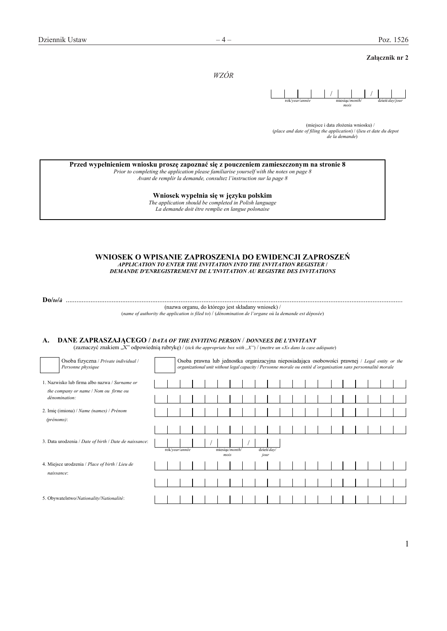### **Załącznik nr 2**

*WZÓR*



(miejsce i data złożenia wniosku) / (*place and date of filing the application*) / (*lieu et date du depot de la demande*)

| Przed wypełnieniem wniosku proszę zapoznać się z pouczeniem zamieszczonym na stronie 8 |  |  |  |
|----------------------------------------------------------------------------------------|--|--|--|
|                                                                                        |  |  |  |

*Prior to completing the application please familiarise yourself with the notes on page 8 Avant de remplir la demande, consultez l'instruction sur la page 8* 

**Wniosek wypełnia się w języku polskim** 

*The application should be completed in Polish language La demande doit être remplie en langue polonaise* 

#### **WNIOSEK O WPISANIE ZAPROSZENIA DO EWIDENCJI ZAPROSZEŃ**  *APPLICATION TO ENTER THE INVITATION INTO THE INVITATION REGISTER* **/**  *DEMANDE D'ENREGISTREMENT DE L'INVITATION AU REGISTRE DES INVITATIONS*

**Do/***to***/***à* ...............................................................................................................................................................................................

(nazwa organu, do którego jest składany wniosek) / (*name of authority the application is filed to*) / (*dénomination de l'organe où la demande est déposée*)

### **A. DANE ZAPRASZAJĄCEGO /** *DATA OF THE INVITING PERSON* / *DONNEES DE L'INVITANT*

(zaznaczyć znakiem "X" odpowiednią rubrykę) / (*tick the appropriate box with ,,X"*) / (*mettre un «X» dans la case adéquate*)

|                   | Osoba fizyczna / Private individual /<br>Personne physique                                              |  | Osoba prawna lub jednostka organizacyjna nieposiadająca osobowości prawnej / Legal entity or the<br>organizational unit without legal capacity / Personne morale ou entité d'organisation sans personnalité morale |  |      |                |                    |  |  |  |  |  |  |
|-------------------|---------------------------------------------------------------------------------------------------------|--|--------------------------------------------------------------------------------------------------------------------------------------------------------------------------------------------------------------------|--|------|----------------|--------------------|--|--|--|--|--|--|
|                   | 1. Nazwisko lub firma albo nazwa / Surname or<br>the company or name / Nom ou firme ou<br>dénomination: |  |                                                                                                                                                                                                                    |  |      |                |                    |  |  |  |  |  |  |
| $(p$ rénoms $)$ : | 2. Imię (imiona) / Name (names) / Prénom                                                                |  |                                                                                                                                                                                                                    |  |      |                |                    |  |  |  |  |  |  |
|                   | 3. Data urodzenia / Date of birth / Date de naissance:                                                  |  |                                                                                                                                                                                                                    |  |      |                |                    |  |  |  |  |  |  |
|                   | 4. Miejsce urodzenia / Place of birth / Lieu de                                                         |  | rok/year/année                                                                                                                                                                                                     |  | mois | miesiac/month/ | dzień/day/<br>jour |  |  |  |  |  |  |
| naissance:        |                                                                                                         |  |                                                                                                                                                                                                                    |  |      |                |                    |  |  |  |  |  |  |
|                   | 5. Obywatelstwo/Nationality/Nationalité:                                                                |  |                                                                                                                                                                                                                    |  |      |                |                    |  |  |  |  |  |  |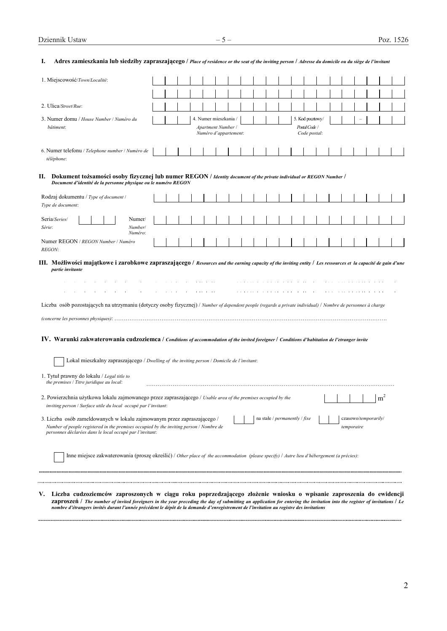| 1. Miejscowość/Town/Localité:                                                                                                                                                                                                                                                                                                                                                                                                                                                                                                                                                                                                                                                                        |  |  |                                             |                       |  |                                 |  |                                                   |  |                                    |                |  |
|------------------------------------------------------------------------------------------------------------------------------------------------------------------------------------------------------------------------------------------------------------------------------------------------------------------------------------------------------------------------------------------------------------------------------------------------------------------------------------------------------------------------------------------------------------------------------------------------------------------------------------------------------------------------------------------------------|--|--|---------------------------------------------|-----------------------|--|---------------------------------|--|---------------------------------------------------|--|------------------------------------|----------------|--|
|                                                                                                                                                                                                                                                                                                                                                                                                                                                                                                                                                                                                                                                                                                      |  |  |                                             |                       |  |                                 |  |                                                   |  |                                    |                |  |
| 2. Ulica/Street/Rue:                                                                                                                                                                                                                                                                                                                                                                                                                                                                                                                                                                                                                                                                                 |  |  |                                             |                       |  |                                 |  |                                                   |  |                                    |                |  |
| 3. Numer domu / House Number / Numéro du<br>bâtiment:                                                                                                                                                                                                                                                                                                                                                                                                                                                                                                                                                                                                                                                |  |  | 4. Numer mieszkania /<br>Apartment Number / | Numéro d'appartement: |  |                                 |  | 5. Kod pocztowy/<br>Postal Code /<br>Code postal: |  |                                    |                |  |
| 6. Numer telefonu / Telephone number / Numéro de<br>téléphone:                                                                                                                                                                                                                                                                                                                                                                                                                                                                                                                                                                                                                                       |  |  |                                             |                       |  |                                 |  |                                                   |  |                                    |                |  |
| II. Dokument tożsamości osoby fizycznej lub numer REGON / Identity document of the private individual or REGON Number /<br>Document d'identité de la personne physique ou le numéro REGON                                                                                                                                                                                                                                                                                                                                                                                                                                                                                                            |  |  |                                             |                       |  |                                 |  |                                                   |  |                                    |                |  |
| Rodzaj dokumentu / Type of document /<br>Type de document:                                                                                                                                                                                                                                                                                                                                                                                                                                                                                                                                                                                                                                           |  |  |                                             |                       |  |                                 |  |                                                   |  |                                    |                |  |
| Seria/Series/<br>Numer/<br>Série:<br>Number/<br>Numéro:                                                                                                                                                                                                                                                                                                                                                                                                                                                                                                                                                                                                                                              |  |  |                                             |                       |  |                                 |  |                                                   |  |                                    |                |  |
| Numer REGON / REGON Number / Numéro<br><b>REGON:</b>                                                                                                                                                                                                                                                                                                                                                                                                                                                                                                                                                                                                                                                 |  |  |                                             |                       |  |                                 |  |                                                   |  |                                    |                |  |
|                                                                                                                                                                                                                                                                                                                                                                                                                                                                                                                                                                                                                                                                                                      |  |  |                                             |                       |  |                                 |  |                                                   |  |                                    |                |  |
|                                                                                                                                                                                                                                                                                                                                                                                                                                                                                                                                                                                                                                                                                                      |  |  |                                             |                       |  |                                 |  |                                                   |  |                                    |                |  |
| Lokal mieszkalny zapraszającego / Dwelling of the inviting person / Domicile de l'invitant:<br>the premises / Titre juridique au local:                                                                                                                                                                                                                                                                                                                                                                                                                                                                                                                                                              |  |  |                                             |                       |  |                                 |  |                                                   |  |                                    |                |  |
| inviting person / Surface utile du local occupé par l'invitant:                                                                                                                                                                                                                                                                                                                                                                                                                                                                                                                                                                                                                                      |  |  |                                             |                       |  |                                 |  |                                                   |  |                                    | m <sup>2</sup> |  |
| Number of people registered in the premises occupied by the inviting person / Nombre de<br>personnes déclarées dans le local occupé par l'invitant:                                                                                                                                                                                                                                                                                                                                                                                                                                                                                                                                                  |  |  |                                             |                       |  | na stałe / $permanently / fixe$ |  |                                                   |  | czasowo/temporarily/<br>temporaire |                |  |
| Liczba osób pozostających na utrzymaniu (dotyczy osoby fizycznej) / Number of dependent people (regards a private individual) / Nombre de personnes à charge<br>IV. Warunki zakwaterowania cudzoziemca / Conditions of accommodation of the invited foreigner / Conditions d'habitation de l'etranger invite<br>1. Tytuł prawny do lokalu / Legal title to<br>2. Powierzchnia użytkowa lokalu zajmowanego przez zapraszającego / Usable area of the premises occupied by the<br>3. Liczba osób zameldowanych w lokalu zajmowanym przez zapraszającego /<br>Inne miejsce zakwaterowania (proszę określić) / Other place of the accommodation (please specify) / Autre lieu d'hébergement (a précies): |  |  |                                             |                       |  |                                 |  |                                                   |  |                                    |                |  |

**ZAPrOSZEŃ /** The number of invited foreigners in the year preceding the day of submitting an application for entering the invitation into the register of invitations / Le<br>nombre d'étrangers invités durant l'année précéden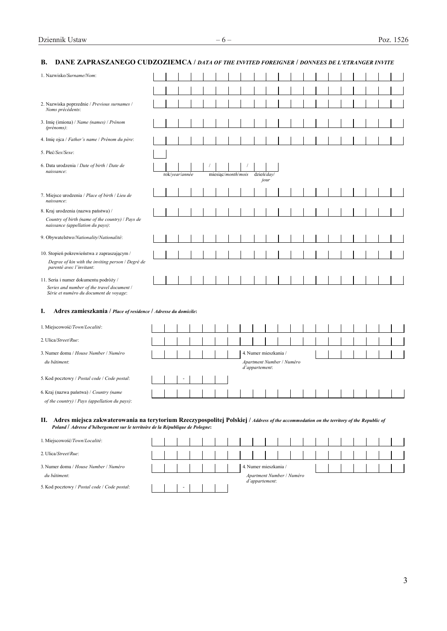# **B. DANE ZAPRASZANEGO CUDZOZIEMCA /** *DATA OF THE INVITED FOREIGNER* **/** *DONNEES DE L'ETRANGER INVITE*

| 1. Nazwisko/Surname/Nom:<br>2. Nazwiska poprzednie / Previous surnames /<br>Noms précédents:<br>3. Imię (imiona) / Name (names) / Prénom<br>(prénoms):<br>4. Imię ojca / Father's name / Prénom du père:                     |
|------------------------------------------------------------------------------------------------------------------------------------------------------------------------------------------------------------------------------|
|                                                                                                                                                                                                                              |
|                                                                                                                                                                                                                              |
|                                                                                                                                                                                                                              |
|                                                                                                                                                                                                                              |
|                                                                                                                                                                                                                              |
|                                                                                                                                                                                                                              |
| 5. Płeć/Sex/Sexe:                                                                                                                                                                                                            |
| 6. Data urodzenia / Date of birth / Date de<br>naissance:                                                                                                                                                                    |
| rok/vear/année<br>miesiąc/month/mois<br>dzień/day/<br>jour                                                                                                                                                                   |
|                                                                                                                                                                                                                              |
| 7. Miejsce urodzenia / Place of birth / Lieu de<br>naissance:                                                                                                                                                                |
| 8. Kraj urodzenia (nazwa państwa) /                                                                                                                                                                                          |
| Country of birth (name of the country) / Pays de<br>naissance (appellation du pays):                                                                                                                                         |
| 9. Obywatelstwo/Nationality/Nationalité:                                                                                                                                                                                     |
| 10. Stopień pokrewieństwa z zapraszającym /                                                                                                                                                                                  |
| Degree of kin with the inviting person / Degré de<br>parenté avec l'invitant:                                                                                                                                                |
| 11. Seria i numer dokumentu podróży /                                                                                                                                                                                        |
| Series and number of the travel document /<br>Série et numéro du document de voyage:                                                                                                                                         |
| I.<br>Adres zamieszkania / Place of residence / Adresse du domicile:                                                                                                                                                         |
| 1. Miejscowość/Town/Localité:                                                                                                                                                                                                |
| 2. Ulica/Street/Rue:                                                                                                                                                                                                         |
| 4. Numer mieszkania /<br>3. Numer domu / House Number / Numéro                                                                                                                                                               |
| Apartment Number / Numéro<br>du bâtiment:<br>d'appartement:                                                                                                                                                                  |
| 5. Kod pocztowy / Postal code / Code postal:                                                                                                                                                                                 |
| 6. Kraj (nazwa państwa) / Country (name                                                                                                                                                                                      |
| of the country) / Pays (appellation du pays):                                                                                                                                                                                |
| II. Adres miejsca zakwaterowania na terytorium Rzeczypospolitej Polskiej / Address of the accommodation on the territory of the Republic of<br>Poland / Adresse d'hébergement sur le territoire de la République de Pologne: |
| 1. Miejscowość/Town/Localité:                                                                                                                                                                                                |

| 2. Ulica/Street/Rue:                         |  |   |  |  |  |                                             |  |  |  |  |  |
|----------------------------------------------|--|---|--|--|--|---------------------------------------------|--|--|--|--|--|
| 3. Numer domu / House Number / Numéro        |  |   |  |  |  | 4. Numer mieszkania /                       |  |  |  |  |  |
| du bâtiment:                                 |  |   |  |  |  | Apartment Number / Numéro<br>d'appartement: |  |  |  |  |  |
| 5. Kod pocztowy / Postal code / Code postal: |  | ۰ |  |  |  |                                             |  |  |  |  |  |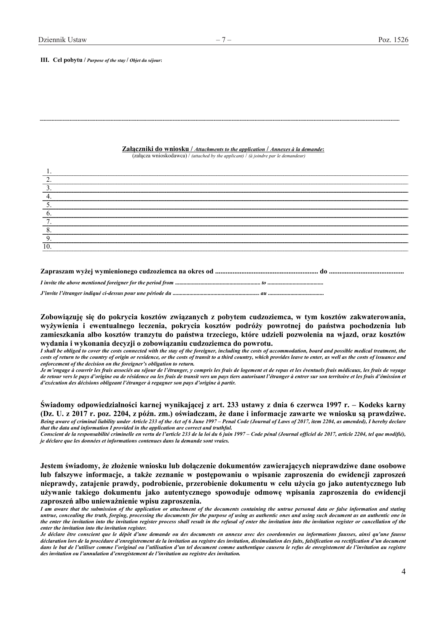**III. Cel pobytu /** *Purpose of the stay* **/** *Objet du séjour***:**

#### **Załączniki do wniosku /** *Attachments to the application* **/** *Annexes à la demande***:**

(załącza wnioskodawca) / *(attached by the applicant)* / *(à joindre par le demandeur)* 

| Q  |  |
|----|--|
| 10 |  |
|    |  |
|    |  |
|    |  |

**Zobowiązuję się do pokrycia kosztów związanych z pobytem cudzoziemca, w tym kosztów zakwaterowania, wyżywienia i ewentualnego leczenia, pokrycia kosztów podróży powrotnej do państwa pochodzenia lub zamieszkania albo kosztów tranzytu do państwa trzeciego, które udzieli pozwolenia na wjazd, oraz kosztów wydania i wykonania decyzji o zobowiązaniu cudzoziemca do powrotu.** 

*I* shall be obliged to cover the costs connected with the stay of the foreigner, including the costs of accommodation, board and possible medical treatment, the *costs of return to the country of origin or residence, or the costs of transit to a third country, which provides leave to enter, as well as the costs of issuance and enforcement of the decision on the foreigner's obligation to return.* 

*Je m'engage à couvrir les frais associés au séjour de l'étranger, y compris les frais de logement et de repas et les éventuels frais médicaux, les frais de voyage*  de retour vers le pays d'origine ou de résidence ou les frais de transit vers un pays tiers autorisant l'étranger à entrer sur son territoire et les frais d'émission et *d'exécution des décisions obligeant l'étranger à regagner son pays d'origine à partir.* 

**Świadomy odpowiedzialności karnej wynikającej z art. 233 ustawy z dnia 6 czerwca 1997 r. – Kodeks karny (Dz. U. z 2017 r. poz. 2204, z późn. zm.) oświadczam, że dane i informacje zawarte we wniosku są prawdziwe.**  *Being aware of criminal liability under Article 233 of the Act of 6 June 1997 – Penal Code (Journal of Laws of 2017, item 2204, as amended), I hereby declare that the data and information I provided in the application are correct and truthful.* 

*Conscient de la responsabilité criminelle en vertu de l'article 233 de la loi du 6 juin 1997 – Code pénal (Journal officiel de 2017, article 2204, tel que modifié), je déclare que les données et informations contenues dans la demande sont vraies.* 

**Jestem świadomy, że złożenie wniosku lub dołączenie dokumentów zawierających nieprawdziwe dane osobowe lub fałszywe informacje, a także zeznanie w postępowaniu o wpisanie zaproszenia do ewidencji zaproszeń nieprawdy, zatajenie prawdy, podrobienie, przerobienie dokumentu w celu użycia go jako autentycznego lub używanie takiego dokumentu jako autentycznego spowoduje odmowę wpisania zaproszenia do ewidencji zaproszeń albo unieważnienie wpisu zaproszenia.** 

*I am aware that the submission of the application or attachment of the documents containing the untrue personal data or false information and stating untrue, concealing the truth, forging, processing the documents for the purpose of using as authentic ones and using such document as an authentic one in the enter the invitation into the invitation register process shall result in the refusal of enter the invitation into the invitation register or cancellation of the enter the invitation into the invitation register.* 

*Je déclare être conscient que le dépôt d'une demande ou des documents en annexe avec des coordonnées ou informations fausses, ainsi qu'une fausse déclaration lors de la procédure d'enregistrement de la invitation au registre des invitation, dissimulation des faits, falsification ou rectification d'un document dans le but de l'utiliser comme l'original ou l'utilisation d'un tel document comme authentique causera le refus de enregistement de l'invitation au registre des invitation ou l'annulation d'enregistement de l'invitation au registre des invitation.*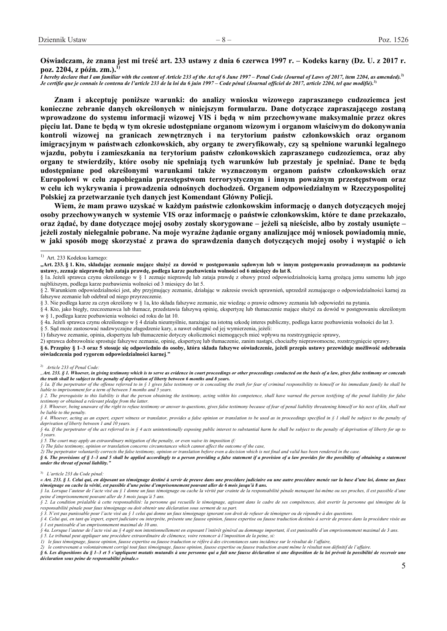**Oświadczam, że znana jest mi treść art. 233 ustawy z dnia 6 czerwca 1997 r. – Kodeks karny (Dz. U. z 2017 r. poz. 2204, z późn. zm.).1)**

*I hereby declare that I am familiar with the content of Article 233 of the Act of 6 June 1997 – Penal Code (Journal of Laws of 2017, item 2204, as amended).***2)** *Je certifie que je connais le contenu de l'article 233 de la loi du 6 juin 1997 – Code pénal (Journal officiel de 2017, article 2204, tel que modifié).***3)** 

**Znam i akceptuję poniższe warunki: do analizy wniosku wizowego zapraszanego cudzoziemca jest konieczne zebranie danych określonych w niniejszym formularzu. Dane dotyczące zapraszającego zostaną wprowadzone do systemu informacji wizowej VIS i będą w nim przechowywane maksymalnie przez okres pięciu lat. Dane te będą w tym okresie udostępniane organom wizowym i organom właściwym do dokonywania kontroli wizowej na granicach zewnętrznych i na terytorium państw członkowskich oraz organom imigracyjnym w państwach członkowskich, aby organy te zweryfikowały, czy są spełnione warunki legalnego wjazdu, pobytu i zamieszkania na terytorium państw członkowskich zapraszanego cudzoziemca, oraz aby organy te stwierdziły, które osoby nie spełniają tych warunków lub przestały je spełniać. Dane te będą udostępniane pod określonymi warunkami także wyznaczonym organom państw członkowskich oraz Europolowi w celu zapobiegania przestępstwom terrorystycznym i innym poważnym przestępstwom oraz w celu ich wykrywania i prowadzenia odnośnych dochodzeń. Organem odpowiedzialnym w Rzeczypospolitej Polskiej za przetwarzanie tych danych jest Komendant Główny Policji.** 

**Wiem, że mam prawo uzyskać w każdym państwie członkowskim informację o danych dotyczących mojej osoby przechowywanych w systemie VIS oraz informację o państwie członkowskim, które te dane przekazało, oraz żądać, by dane dotyczące mojej osoby zostały skorygowane – jeżeli są nieścisłe, albo by zostały usunięte – jeżeli zostały nielegalnie pobrane. Na moje wyraźne żądanie organy analizujące mój wniosek powiadomią mnie, w jaki sposób mogę skorzystać z prawa do sprawdzenia danych dotyczących mojej osoby i wystąpić o ich** 

- § 4a. Jeżeli sprawca czynu określonego w § 4 działa nieumyślnie, narażając na istotną szkodę interes publiczny, podlega karze pozbawienia wolności do lat 3.
- § 5. Sąd może zastosować nadzwyczajne złagodzenie kary, a nawet odstąpić od jej wymierzenia, jeżeli:
- 1) fałszywe zeznanie, opinia, ekspertyza lub tłumaczenie dotyczy okoliczności niemogących mieć wpływu na rozstrzygnięcie sprawy,

2) sprawca dobrowolnie sprostuje fałszywe zeznanie, opinię, ekspertyzę lub tłumaczenie, zanim nastąpi, chociażby nieprawomocne, rozstrzygnięcie sprawy.

**§ 6. Przepisy § 1–3 oraz 5 stosuje się odpowiednio do osoby, która składa fałszywe oświadczenie, jeżeli przepis ustawy przewiduje możliwość odebrania oświadczenia pod rygorem odpowiedzialności karnej**.**"** 

#### 2) *Article 233 of Penal Code:*

*§ 5. The court may apply an extraordinary mitigation of the penalty, or even waive its imposition if:*

*1) The false testimony, opinion or translation concerns circumstances which cannot affect the outcome of the case,* 

*under the threat of penal liability."* 

*§ 3. N'est pas punissable pour l'acte visé au § 1 celui qui donne un faux témoignage ignorant son droit de refuser de témoigner ou de répondre à des questions.* 

*§ 4. Celui qui, en tant qu'expert, expert judiciaire ou interprète, présente une fausse opinion, fausse expertise ou fausse traduction destinée à servir de preuve dans la procédure visée au § 1 est punissable d'un emprisonnement maximal de 10 ans.*

<sup>&</sup>lt;sup>1)</sup> Art. 233 Kodeksu karnego:

**<sup>&</sup>quot;Art. 233. § 1. Kto, składając zeznanie mające służyć za dowód w postępowaniu sądowym lub w innym postępowaniu prowadzonym na podstawie ustawy, zeznaje nieprawdę lub zataja prawdę, podlega karze pozbawienia wolności od 6 miesięcy do lat 8.** 

<sup>§ 1</sup>a. Jeżeli sprawca czynu określonego w § 1 zeznaje nieprawdę lub zataja prawdę z obawy przed odpowiedzialnością karną grożącą jemu samemu lub jego najbliższym, podlega karze pozbawienia wolności od 3 miesięcy do lat 5.

<sup>§ 2.</sup> Warunkiem odpowiedzialności jest, aby przyjmujący zeznanie, działając w zakresie swoich uprawnień, uprzedził zeznającego o odpowiedzialności karnej za fałszywe zeznanie lub odebrał od niego przyrzeczenie.

<sup>§ 3.</sup> Nie podlega karze za czyn określony w § 1a, kto składa fałszywe zeznanie, nie wiedząc o prawie odmowy zeznania lub odpowiedzi na pytania.

<sup>§ 4.</sup> Kto, jako biegły, rzeczoznawca lub tłumacz, przedstawia fałszywą opinię, ekspertyzę lub tłumaczenie mające służyć za dowód w postępowaniu określonym w § 1, podlega karze pozbawienia wolności od roku do lat 10.

*<sup>&</sup>quot;Art. 233. § 1. Whoever, in giving testimony which is to serve as evidence in court proceedings or other proceedings conducted on the basis of a law, gives false testimony or conceals the truth shall be subject to the penalty of deprivation of liberty between 6 months and 8 years.*

*<sup>§ 1</sup>a. If the perpetrator of the offense referred to in § 1 gives false testimony or is concealing the truth for fear of criminal responsibility to himself or his immediate family he shall be liable to imprisonment for a term of between 3 months and 5 years.* 

*<sup>§ 2.</sup> The prerequisite to this liability is that the person obtaining the testimony, acting within his competence, shall have warned the person testifying of the penal liability for false testimony or obtained a relevant pledge from the latter.* 

*<sup>§ 3.</sup> Whoever, being unaware of the right to refuse testimony or answer to questions, gives false testimony because of fear of penal liability threatening himself or his next of kin, shall not be liable to the penalty.* 

*<sup>§ 4.</sup> Whoever, acting as an expert, expert witness or translator, provides a false opinion or translation to be used as in proceedings specified in § 1 shall be subject to the penalty of deprivation of liberty between 1 and 10 years.* 

*<sup>§ 4</sup>a. If the perpetrator of the act referred to in § 4 acts unintentionally exposing public interest to substantial harm he shall be subject to the penalty of deprivation of liberty for up to 3 years.* 

*<sup>2)</sup> The perpetrator voluntarily corrects the false testimony, opinion or translation before even a decision which is not final and valid has been rendered in the case. § 6. The provisions of § 1–3 and 5 shall be applied accordingly to a person providing a false statement if a provision of a law provides for the possibility of obtaining a statement* 

<sup>3)</sup> *L'article 233 du Code pénal:* 

*<sup>«</sup> Art. 233. § 1. Celui qui, en déposant un témoignage destiné à servir de preuve dans une procédure judiciaire ou une autre procédure menée sur la base d'une loi, donne un faux témoignage ou cache la vérité, est passible d'une peine d'emprisonnement pouvant aller de 6 mois jusqu'à 8 ans.* 

*<sup>§ 1</sup>a. Lorsque l'auteur de l'acte visé au § 1 donne un faux témoignage ou cache la vérité par crainte de la responsabilité pénale menaçant lui-même ou ses proches, il est passible d'une peine d'emprisonnement pouvant aller de 3 mois jusqu'à 5 ans.* 

*<sup>§ 2.</sup> La condition préalable à cette responsabilité: la personne qui recueille le témoignage, agissant dans le cadre de ses compétences, doit avertir la personne qui témoigne de la responsabilité pénale pour faux témoignage ou doit obtenir une déclaration sous serment de sa part.* 

*<sup>§ 4</sup>a. Lorsque l'auteur de l'acte visé au § 4 agit non intentionnellement en exposant l'intérêt général au dommage important, il est punissable d'un emprisonnement maximal de 3 ans. § 5. Le tribunal peut appliquer une procédure extraordinaire de clémence, voire renoncer à l'imposition de la peine, si:* 

*<sup>1)</sup> le faux témoignage, fausse opinion, fausse expertise ou fausse traduction se réfère à des circonstances sans incidence sur le résultat de l'affaire,*

*<sup>2)</sup> le contrevenant a volontairement corrigé tout faux témoignage, fausse opinion, fausse expertise ou fausse traduction avant même le résultat non définitif de l'affaire.*

*<sup>§ 6.</sup> Les dispositions du § 1–3 et 5 s'appliquent mutatis mutandis à une personne qui a fait une fausse déclaration si une disposition de la loi prévoit la possibilité de recevoir une déclaration sous peine de responsabilité pénale.»*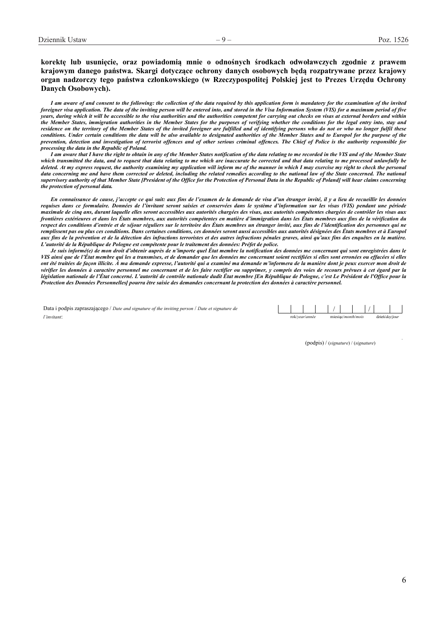## **korektę lub usunięcie, oraz powiadomią mnie o odnośnych środkach odwoławczych zgodnie z prawem krajowym danego państwa. Skargi dotyczące ochrony danych osobowych będą rozpatrywane przez krajowy organ nadzorczy tego państwa członkowskiego (w Rzeczypospolitej Polskiej jest to Prezes Urzędu Ochrony Danych Osobowych).**

*I am aware of and consent to the following: the collection of the data required by this application form is mandatory for the examination of the invited foreigner visa application. The data of the inviting person will be entered into, and stored in the Visa Information System (VIS) for a maximum period of five years, during which it will be accessible to the visa authorities and the authorities competent for carrying out checks on visas at external borders and within the Member States, immigration authorities in the Member States for the purposes of verifying whether the conditions for the legal entry into, stay and residence on the territory of the Member States of the invited foreigner are fulfilled and of identifying persons who do not or who no longer fulfil these conditions. Under certain conditions the data will be also available to designated authorities of the Member States and to Europol for the purpose of the prevention, detection and investigation of terrorist offences and of other serious criminal offences. The Chief of Police is the authority responsible for processing the data in the Republic of Poland.* 

*I am aware that I have the right to obtain in any of the Member States notification of the data relating to me recorded in the VIS and of the Member State which transmitted the data, and to request that data relating to me which are inaccurate be corrected and that data relating to me processed unlawfully be deleted. At my express request, the authority examining my application will inform me of the manner in which I may exercise my right to check the personal*  data concerning me and have them corrected or deleted, including the related remedies according to the national law of the State concerned. The national *supervisory authority of that Member State [President of the Office for the Protection of Personal Data in the Republic of Poland] will hear claims concerning the protection of personal data.* 

*En connaissance de cause, j'accepte ce qui suit: aux fins de l'examen de la demande de visa d'un étranger invité, il y a lieu de recueillir les données requises dans ce formulaire. Données de l'invitant seront saisies et conservées dans le système d'information sur les visas (VIS) pendant une période maximale de cinq ans, durant laquelle elles seront accessibles aux autorités chargées des visas, aux autorités compétentes chargées de contrôler les visas aux frontières extérieures et dans les États membres, aux autorités compétentes en matière d'immigration dans les États membres aux fins de la vérification du respect des conditions d'entrée et de séjour réguliers sur le territoire des États membres un étranger invité, aux fins de l'identification des personnes qui ne remplissent pas ou plus ces conditions. Dans certaines conditions, ces données seront aussi accessibles aux autorités désignées des États membres et à Europol aux fins de la prévention et de la détection des infractions terroristes et des autres infractions pénales graves, ainsi qu'aux fins des enquêtes en la matière. L'autorité de la République de Pologne est compétente pour le traitement des données: Préfet de police.* 

*Je suis informé(e) de mon droit d'obtenir auprès de n'importe quel État membre la notification des données me concernant qui sont enregistrées dans le VIS ainsi que de l'État membre qui les a transmises, et de demander que les données me concernant soient rectifiées si elles sont erronées ou effacées si elles ont été traitées de façon illicite. À ma demande expresse, l'autorité qui a examiné ma demande m'informera de la manière dont je peux exercer mon droit de vérifier les données à caractère personnel me concernant et de les faire rectifier ou supprimer, y compris des voies de recours prévues à cet égard par la législation nationale de l'État concerné. L'autorité de contrôle nationale dudit État membre [En République de Pologne, c'est Le Président de l'Office pour la Protection des Données Personnelles] pourra être saisie des demandes concernant la protection des données à caractère personnel.* 

Data i podpis zapraszającego / *Date and signature of the inviting person* / *Date et signature de l'invitant*: rok/*year*/*année* miesiąc/*month*/*mois* dzień/*day*/*jour*

(podpis) / (*signature*) / (*signature*)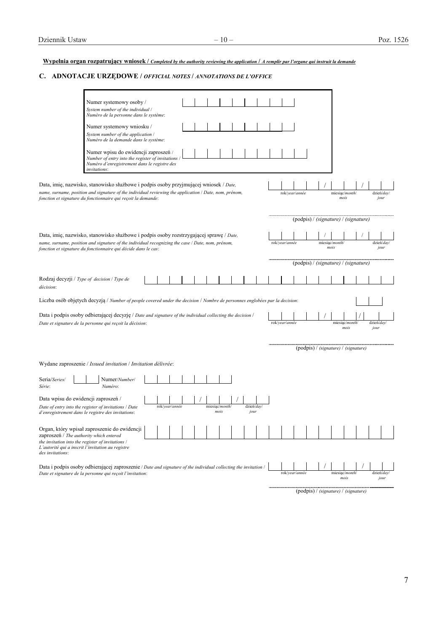# **Wypełnia organ rozpatrujący wniosek /** *Completed by the authority reviewing the application* **/** *A remplir par l'organe qui instruit la demande*

# **C. ADNOTACJE URZĘDOWE /** *OFFICIAL NOTES* **/** *ANNOTATIONS DE L'OFFICE*

|                                                                                                                                                                         | Numer systemowy osoby /<br>System number of the individual /<br>Numéro de la personne dans le système:                                                   |  |                |  |  |  |                        |  |                   |  |                |                |                                      |                                                     |                        |                        |                        |  |                    |  |  |  |  |  |  |
|-------------------------------------------------------------------------------------------------------------------------------------------------------------------------|----------------------------------------------------------------------------------------------------------------------------------------------------------|--|----------------|--|--|--|------------------------|--|-------------------|--|----------------|----------------|--------------------------------------|-----------------------------------------------------|------------------------|------------------------|------------------------|--|--------------------|--|--|--|--|--|--|
|                                                                                                                                                                         | Numer systemowy wniosku /<br>System number of the application /<br>Numéro de la demande dans le système:                                                 |  |                |  |  |  |                        |  |                   |  |                |                |                                      |                                                     |                        |                        |                        |  |                    |  |  |  |  |  |  |
|                                                                                                                                                                         | Numer wpisu do ewidencji zaproszeń /<br>Number of entry into the register of invitations<br>Numéro d'enregistrement dans le registre des<br>invitations: |  |                |  |  |  |                        |  |                   |  |                |                |                                      |                                                     |                        |                        |                        |  |                    |  |  |  |  |  |  |
| Data, imię, nazwisko, stanowisko służbowe i podpis osoby przyjmującej wniosek <i>Date</i> ,                                                                             |                                                                                                                                                          |  |                |  |  |  |                        |  |                   |  |                |                |                                      |                                                     |                        |                        |                        |  |                    |  |  |  |  |  |  |
| name, surname, position and signature of the individual reviewing the application / Date, nom, prénom,<br>fonction et signature du fonctionnaire qui reçoit la demande: |                                                                                                                                                          |  |                |  |  |  |                        |  |                   |  |                |                | rok/year/année                       |                                                     |                        |                        | miesiąc/month/<br>mois |  | dzień/day/<br>jour |  |  |  |  |  |  |
|                                                                                                                                                                         |                                                                                                                                                          |  |                |  |  |  |                        |  |                   |  |                |                | (podpis) / (signature) / (signature) |                                                     |                        |                        |                        |  |                    |  |  |  |  |  |  |
| Data, imię, nazwisko, stanowisko służbowe i podpis osoby rozstrzygającej sprawę / Date,                                                                                 |                                                                                                                                                          |  |                |  |  |  |                        |  |                   |  |                |                |                                      |                                                     |                        |                        |                        |  |                    |  |  |  |  |  |  |
| name, surname, position and signature of the individual recognizing the case / Date, nom, prénom,<br>fonction et signature du fonctionnaire qui décide dans le cas:     |                                                                                                                                                          |  |                |  |  |  |                        |  |                   |  |                | rok/year/année |                                      |                                                     |                        | miesiąc/month/<br>mois |                        |  | dzień/dav<br>jour  |  |  |  |  |  |  |
|                                                                                                                                                                         |                                                                                                                                                          |  |                |  |  |  |                        |  |                   |  |                |                |                                      | $\pmb{\text{(podpis)}}$ / (signature) / (signature) |                        |                        |                        |  |                    |  |  |  |  |  |  |
|                                                                                                                                                                         |                                                                                                                                                          |  |                |  |  |  |                        |  |                   |  |                |                |                                      |                                                     |                        |                        |                        |  |                    |  |  |  |  |  |  |
| décision:                                                                                                                                                               | Rodzaj decyzji / Type of decision / Type de                                                                                                              |  |                |  |  |  |                        |  |                   |  |                |                |                                      |                                                     |                        |                        |                        |  |                    |  |  |  |  |  |  |
|                                                                                                                                                                         | Liczba osób objętych decyzją / Number of people covered under the decision / Nombre de personnes englobées par la decision:                              |  |                |  |  |  |                        |  |                   |  |                |                |                                      |                                                     |                        |                        |                        |  |                    |  |  |  |  |  |  |
|                                                                                                                                                                         |                                                                                                                                                          |  |                |  |  |  |                        |  |                   |  |                |                |                                      |                                                     |                        |                        |                        |  |                    |  |  |  |  |  |  |
| Data i podpis osoby odbierającej decyzję / Date and signature of the individual collecting the decision /<br>Date et signature de la personne qui reçoit la décision:   |                                                                                                                                                          |  |                |  |  |  |                        |  |                   |  |                | rok/year/année |                                      |                                                     |                        |                        | miesiąc/month/<br>mois |  | dzień/day<br>jour  |  |  |  |  |  |  |
|                                                                                                                                                                         |                                                                                                                                                          |  |                |  |  |  |                        |  |                   |  |                |                |                                      |                                                     |                        |                        |                        |  |                    |  |  |  |  |  |  |
|                                                                                                                                                                         |                                                                                                                                                          |  |                |  |  |  |                        |  |                   |  |                |                |                                      | (podpis) / (signature) / (signature)                |                        |                        |                        |  |                    |  |  |  |  |  |  |
|                                                                                                                                                                         | Wydane zaproszenie / Issued invitation / Invitation délivrée:                                                                                            |  |                |  |  |  |                        |  |                   |  |                |                |                                      |                                                     |                        |                        |                        |  |                    |  |  |  |  |  |  |
| Seria/Series/<br>Série:                                                                                                                                                 | Numer/Number/<br>Numéro:                                                                                                                                 |  |                |  |  |  |                        |  |                   |  |                |                |                                      |                                                     |                        |                        |                        |  |                    |  |  |  |  |  |  |
| Data wpisu do ewidencji zaproszeń /                                                                                                                                     |                                                                                                                                                          |  |                |  |  |  |                        |  |                   |  |                |                |                                      |                                                     |                        |                        |                        |  |                    |  |  |  |  |  |  |
|                                                                                                                                                                         | Date of entry into the register of invitations / Date<br>d'enregistrement dans le registre des invitations:                                              |  | rok/year/année |  |  |  | miesiąc/month/<br>mois |  | dzień/day<br>jour |  |                |                |                                      |                                                     |                        |                        |                        |  |                    |  |  |  |  |  |  |
| zaproszeń / The authority which entered                                                                                                                                 | Organ, który wpisał zaproszenie do ewidencji                                                                                                             |  |                |  |  |  |                        |  |                   |  |                |                |                                      |                                                     |                        |                        |                        |  |                    |  |  |  |  |  |  |
| the invitation into the register of invitations /<br>des invitations:                                                                                                   | L'autorité qui a inscrit l'invitation au registre                                                                                                        |  |                |  |  |  |                        |  |                   |  |                |                |                                      |                                                     |                        |                        |                        |  |                    |  |  |  |  |  |  |
|                                                                                                                                                                         | Data i podpis osoby odbierającej zaproszenie / Date and signature of the individual collecting the invitation /                                          |  |                |  |  |  |                        |  |                   |  |                |                |                                      |                                                     |                        |                        |                        |  |                    |  |  |  |  |  |  |
| Date et signature de la personne qui reçoit l'invitation:                                                                                                               |                                                                                                                                                          |  |                |  |  |  |                        |  |                   |  | rok/year/année |                |                                      |                                                     | miesiąc/month/<br>mois |                        | dzień/day<br>iour      |  |                    |  |  |  |  |  |  |

(podpis) / *(signature)* / *(signature)*